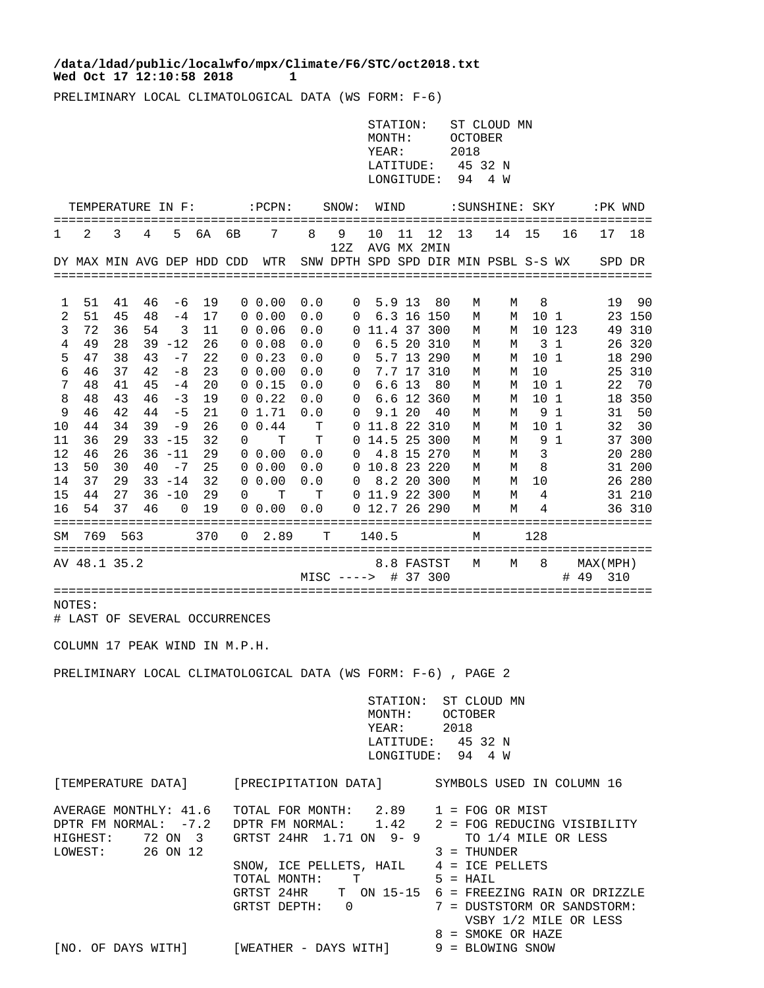## **Wed Oct 17 12:10:58 2018 1 /data/ldad/public/localwfo/mpx/Climate/F6/STC/oct2018.txt**

PRELIMINARY LOCAL CLIMATOLOGICAL DATA (WS FORM: F-6)

|                                                                                     |                                                                                              |                                                                                              |                                                                |                                                                                                                                           |                                                                                              |             |                                                                                                                                                                                                                                                                                           |                                                                                                        |                                                                              | STATION:<br>MONTH:<br>YEAR:<br>LATITUDE:<br>LONGITUDE:   |                           |                                                                                                                                                | <b>OCTOBER</b><br>2018<br>45 32 N<br>94                                      | ST CLOUD MN<br>4 W                                                           |                                                                                 |                                      |                                                      |                                                                                                                                              |
|-------------------------------------------------------------------------------------|----------------------------------------------------------------------------------------------|----------------------------------------------------------------------------------------------|----------------------------------------------------------------|-------------------------------------------------------------------------------------------------------------------------------------------|----------------------------------------------------------------------------------------------|-------------|-------------------------------------------------------------------------------------------------------------------------------------------------------------------------------------------------------------------------------------------------------------------------------------------|--------------------------------------------------------------------------------------------------------|------------------------------------------------------------------------------|----------------------------------------------------------|---------------------------|------------------------------------------------------------------------------------------------------------------------------------------------|------------------------------------------------------------------------------|------------------------------------------------------------------------------|---------------------------------------------------------------------------------|--------------------------------------|------------------------------------------------------|----------------------------------------------------------------------------------------------------------------------------------------------|
|                                                                                     | TEMPERATURE IN F:                                                                            |                                                                                              |                                                                |                                                                                                                                           |                                                                                              |             | $:$ PCPN $:$                                                                                                                                                                                                                                                                              |                                                                                                        | SNOW:                                                                        | WIND                                                     |                           |                                                                                                                                                |                                                                              | :SUNSHINE: SKY                                                               |                                                                                 |                                      |                                                      | :PK WND                                                                                                                                      |
| T                                                                                   | 2                                                                                            | 3                                                                                            | 4                                                              | 5                                                                                                                                         | 6A                                                                                           | 6В          | 7                                                                                                                                                                                                                                                                                         | 8                                                                                                      | 9<br>12Z                                                                     | 10                                                       | 11                        | 12<br>AVG MX 2MIN                                                                                                                              | 13                                                                           | 14                                                                           | 15                                                                              | 16                                   | 17                                                   | 18                                                                                                                                           |
|                                                                                     | DY MAX MIN AVG DEP HDD CDD                                                                   |                                                                                              |                                                                |                                                                                                                                           |                                                                                              |             | WTR                                                                                                                                                                                                                                                                                       |                                                                                                        | SNW DPTH SPD SPD DIR MIN PSBL S-S WX                                         |                                                          |                           |                                                                                                                                                |                                                                              |                                                                              |                                                                                 |                                      |                                                      | SPD DR                                                                                                                                       |
| 1<br>2<br>3<br>4<br>5<br>6<br>7<br>8<br>9<br>10<br>11<br>12<br>13<br>14<br>15<br>16 | 51<br>51<br>72<br>49<br>47<br>46<br>48<br>48<br>46<br>44<br>36<br>46<br>50<br>37<br>44<br>54 | 41<br>45<br>36<br>28<br>38<br>37<br>41<br>43<br>42<br>34<br>29<br>26<br>30<br>29<br>27<br>37 | 46<br>48<br>54<br>43<br>42<br>45<br>46<br>44<br>39<br>40<br>46 | -6<br>$-4$<br>3<br>$39 - 12$<br>$-7$<br>$-8$<br>$-4$<br>-3<br>$-5$<br>-9<br>$33 - 15$<br>$36 - 11$<br>$-7$<br>$33 - 14$<br>$36 - 10$<br>0 | 19<br>17<br>11<br>26<br>22<br>23<br>20<br>19<br>21<br>26<br>32<br>29<br>25<br>32<br>29<br>19 | 0<br>0<br>0 | $0\;\;0.00$<br>$0\;\;0.00$<br>$0\;\;0.06$<br>$0\;\; 0.08$<br>0 0.23<br>$0\;\;0.00$<br>0 0.15<br>$0\;\; 0.22$<br>01.71<br>0.44<br>T<br>$0\;\;0.00$<br>$0\;\;0.00$<br>$0\;\;0.00$<br>т<br>$0\;\;0.00$                                                                                       | 0.0<br>0.0<br>0.0<br>0.0<br>0.0<br>0.0<br>0.0<br>0.0<br>0.0<br>т<br>т<br>0.0<br>0.0<br>0.0<br>т<br>0.0 | 0<br>0<br>0<br>0<br>0<br>0<br>0<br>0<br>0<br>0<br>0<br>0<br>0<br>0<br>0<br>0 | 11.8 22 310<br>14.5 25 300<br>10.8 23 220<br>11.9 22 300 | 5.9 13<br>6.613<br>9.1 20 | 80<br>6.3 16 150<br>11.4 37 300<br>6.5 20 310<br>5.7 13 290<br>7.7 17 310<br>80<br>6.6 12 360<br>40<br>4.8 15 270<br>8.2 20 300<br>12.7 26 290 | М<br>М<br>М<br>М<br>М<br>М<br>М<br>М<br>М<br>М<br>М<br>М<br>М<br>М<br>М<br>М | М<br>М<br>М<br>М<br>М<br>М<br>М<br>М<br>М<br>М<br>M<br>М<br>М<br>М<br>М<br>М | 8<br>10 1<br>10 1<br>10<br>10 1<br>10<br>9<br>10<br>9<br>3<br>8<br>10<br>4<br>4 | 10 123<br>3 1<br>-1<br>1<br>- 1<br>1 | 19<br>22<br>31<br>32                                 | 90<br>23 150<br>49 310<br>26 320<br>18 290<br>25 310<br>70<br>18 350<br>50<br>30<br>37 300<br>20 280<br>31 200<br>26 280<br>31 210<br>36 310 |
| SΜ                                                                                  | 769                                                                                          | 563                                                                                          |                                                                |                                                                                                                                           | 370                                                                                          | 0           | 2.89                                                                                                                                                                                                                                                                                      |                                                                                                        | т                                                                            | 140.5                                                    |                           |                                                                                                                                                | М                                                                            |                                                                              | 128                                                                             |                                      |                                                      |                                                                                                                                              |
|                                                                                     | AV 48.1 35.2                                                                                 |                                                                                              |                                                                |                                                                                                                                           |                                                                                              |             |                                                                                                                                                                                                                                                                                           |                                                                                                        | $MISC$ ---->                                                                 |                                                          |                           | 8.8 FASTST<br># 37 300                                                                                                                         | М                                                                            | М                                                                            | 8                                                                               | #                                    | MAX(MPH)<br>-49                                      | 310                                                                                                                                          |
|                                                                                     | NOTES:<br># LAST OF SEVERAL OCCURRENCES                                                      |                                                                                              |                                                                |                                                                                                                                           |                                                                                              |             |                                                                                                                                                                                                                                                                                           |                                                                                                        |                                                                              |                                                          |                           |                                                                                                                                                |                                                                              |                                                                              |                                                                                 |                                      |                                                      |                                                                                                                                              |
|                                                                                     | COLUMN 17 PEAK WIND IN M.P.H.                                                                |                                                                                              |                                                                |                                                                                                                                           |                                                                                              |             | PRELIMINARY LOCAL CLIMATOLOGICAL DATA (WS FORM: F-6), PAGE 2                                                                                                                                                                                                                              |                                                                                                        |                                                                              |                                                          |                           |                                                                                                                                                |                                                                              |                                                                              |                                                                                 |                                      |                                                      |                                                                                                                                              |
|                                                                                     |                                                                                              |                                                                                              |                                                                |                                                                                                                                           |                                                                                              |             |                                                                                                                                                                                                                                                                                           |                                                                                                        |                                                                              |                                                          |                           | YEAR: 2018                                                                                                                                     | MONTH: OCTOBER<br>LATITUDE: 45 32 N<br>LONGITUDE: 94 4 W                     | STATION: ST CLOUD MN                                                         |                                                                                 |                                      |                                                      |                                                                                                                                              |
|                                                                                     |                                                                                              |                                                                                              |                                                                |                                                                                                                                           |                                                                                              |             | [TEMPERATURE DATA] [PRECIPITATION DATA] SYMBOLS USED IN COLUMN 16                                                                                                                                                                                                                         |                                                                                                        |                                                                              |                                                          |                           |                                                                                                                                                |                                                                              |                                                                              |                                                                                 |                                      |                                                      |                                                                                                                                              |
|                                                                                     | AVERAGE MONTHLY: 41.6<br>DPTR FM NORMAL: -7.2<br>HIGHEST:<br>LOWEST: 26 ON 12                |                                                                                              |                                                                | 72 ON 3                                                                                                                                   |                                                                                              |             | TOTAL FOR MONTH: $2.89$ 1 = FOG OR MIST<br>DPTR FM NORMAL: 1.42 2 = FOG REDUCING VISIBILITY<br>GRTST 24HR 1.71 ON 9-9 TO 1/4 MILE OR LESS<br>SNOW, ICE PELLETS, HAIL $4 = ICE$ PELLETS<br>TOTAL MONTH: T 5 = HAIL<br>GRTST 24HR T ON 15-15 6 = FREEZING RAIN OR DRIZZLE<br>GRTST DEPTH: 0 |                                                                                                        |                                                                              |                                                          |                           |                                                                                                                                                |                                                                              | $3 = THUNDER$<br>8 = SMOKE OR HAZE                                           |                                                                                 |                                      | 7 = DUSTSTORM OR SANDSTORM:<br>VSBY 1/2 MILE OR LESS |                                                                                                                                              |

[NO. OF DAYS WITH] [WEATHER - DAYS WITH] 9 = BLOWING SNOW